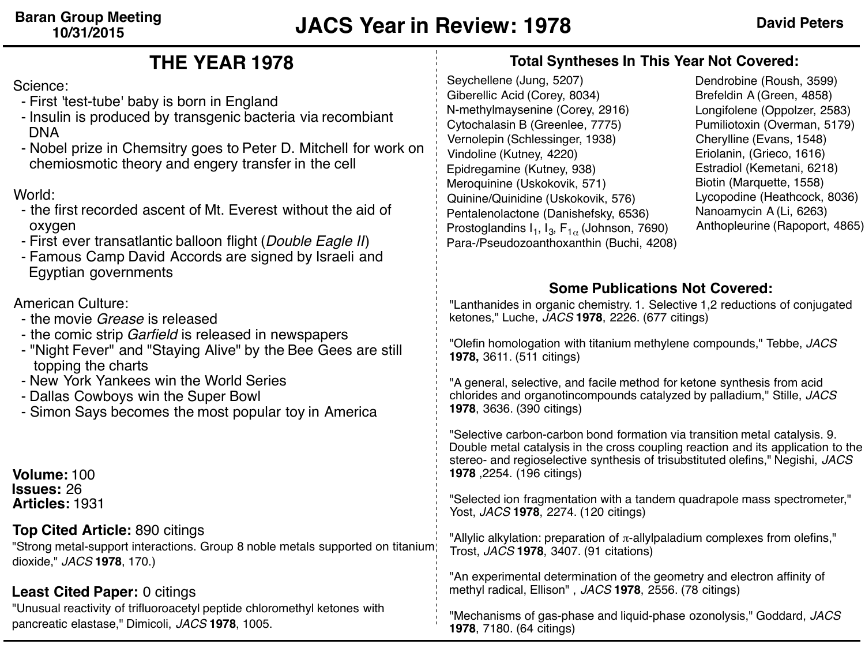### Seychellene (Jung, 5207) Giberellic Acid (Corey, 8034) N-methylmaysenine (Corey, 2916) Cytochalasin B (Greenlee, 7775) Vernolepin (Schlessinger, 1938) Vindoline (Kutney, 4220) Epidregamine (Kutney, 938) Meroquinine (Uskokovik, 571) Quinine/Quinidine (Uskokovik, 576) Pentalenolactone (Danishefsky, 6536) Prostoglandins  $I_1$ ,  $I_3$ ,  $F_{1\alpha}$  (Johnson, 7690) Para-/Pseudozoanthoxanthin (Buchi, 4208) Dendrobine (Roush, 3599) Brefeldin A (Green, 4858) Longifolene (Oppolzer, 2583) Pumiliotoxin (Overman, 5179) Cherylline (Evans, 1548) Eriolanin, (Grieco, 1616) Estradiol (Kemetani, 6218) Biotin (Marquette, 1558) Lycopodine (Heathcock, 8036) Nanoamycin A (Li, 6263) Anthopleurine (Rapoport, 4865) **Total Syntheses In This Year Not Covered: Top Cited Article:** 890 citings "Strong metal-support interactions. Group 8 noble metals supported on titanium dioxide," *JACS* **1978**, 170.) **Least Cited Paper:** 0 citings "Unusual reactivity of trifluoroacetyl peptide chloromethyl ketones with pancreatic elastase," Dimicoli, *JACS* **1978**, 1005. "Lanthanides in organic chemistry. 1. Selective 1,2 reductions of conjugated ketones," Luche, *JACS* **1978**, 2226. (677 citings) "Olefin homologation with titanium methylene compounds," Tebbe, *JACS* **1978,** 3611. (511 citings) "A general, selective, and facile method for ketone synthesis from acid chlorides and organotincompounds catalyzed by palladium," Stille, *JACS* **1978**, 3636. (390 citings) "Selective carbon-carbon bond formation via transition metal catalysis. 9. Double metal catalysis in the cross coupling reaction and its application to the stereo- and regioselective synthesis of trisubstituted olefins," Negishi, *JACS* **1978** ,2254. (196 citings) "Selected ion fragmentation with a tandem quadrapole mass spectrometer," Yost, *JACS* **1978**, 2274. (120 citings) "Allylic alkylation: preparation of  $π$ -allylpaladium complexes from olefins," Trost, *JACS* **1978**, 3407. (91 citations) "An experimental determination of the geometry and electron affinity of methyl radical, Ellison" , *JACS* **1978**, 2556. (78 citings) "Mechanisms of gas-phase and liquid-phase ozonolysis," Goddard, *JACS* **Some Publications Not Covered: Volume:** 100 **Issues:** 26 **Articles:** 1931 **THE YEAR 1978** Science: - First 'test-tube' baby is born in England - Insulin is produced by transgenic bacteria via recombiant DNA - Nobel prize in Chemsitry goes to Peter D. Mitchell for work on chemiosmotic theory and engery transfer in the cell World: - the first recorded ascent of Mt. Everest without the aid of oxygen - First ever transatlantic balloon flight (*Double Eagle II*) - Famous Camp David Accords are signed by Israeli and Egyptian governments American Culture: - the movie *Grease* is released - the comic strip *Garfield* is released in newspapers - "Night Fever" and "Staying Alive" by the Bee Gees are still topping the charts - New York Yankees win the World Series - Dallas Cowboys win the Super Bowl - Simon Says becomes the most popular toy in America

**1978**, 7180. (64 citings)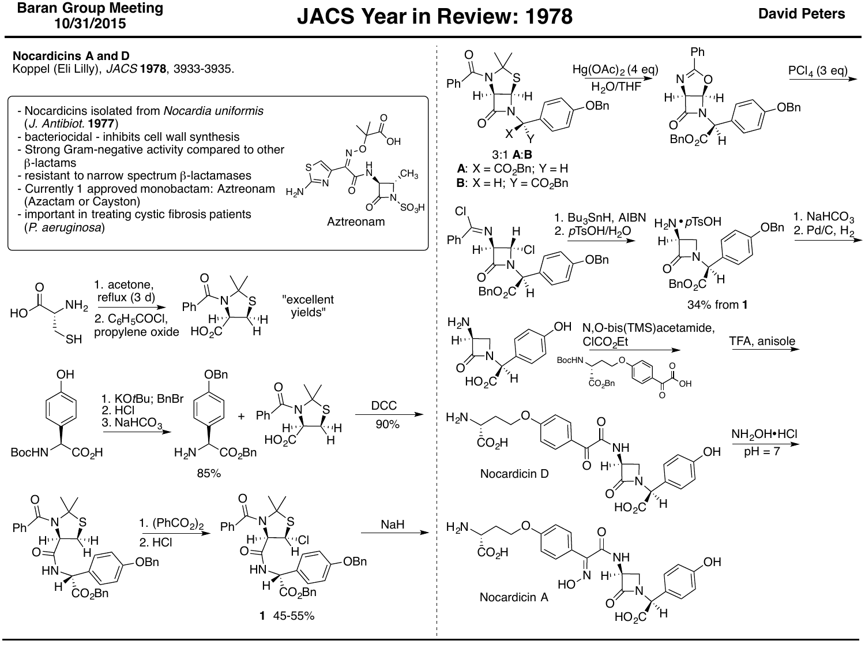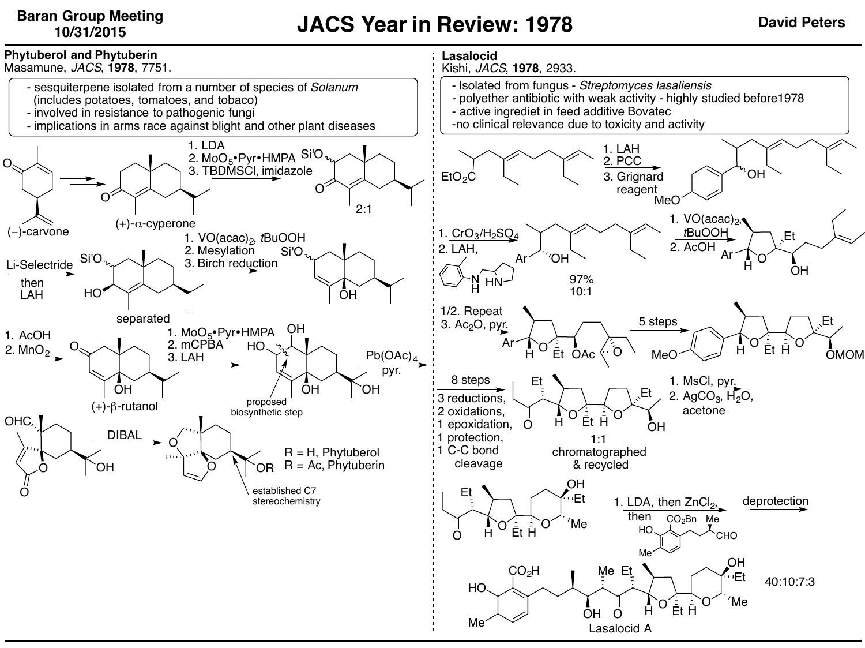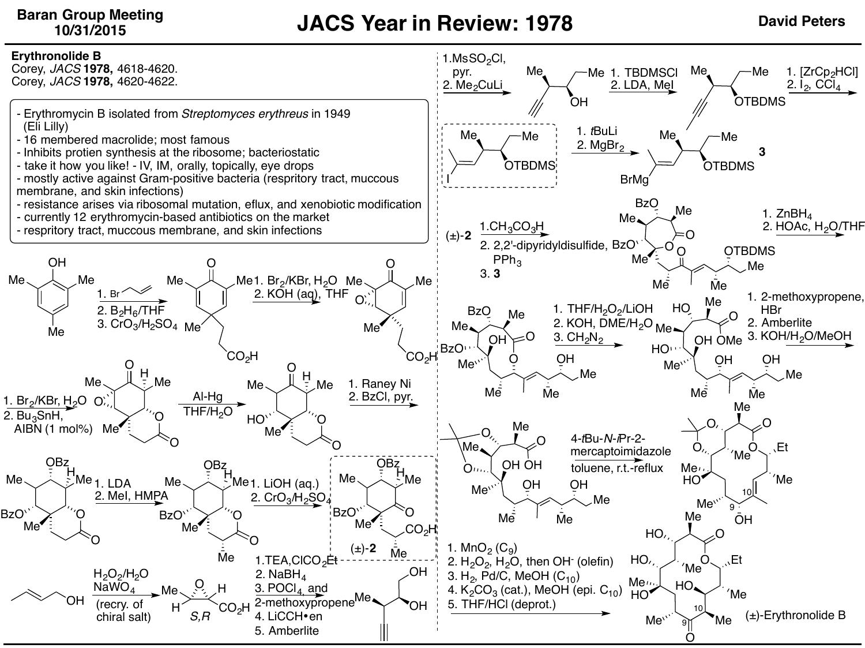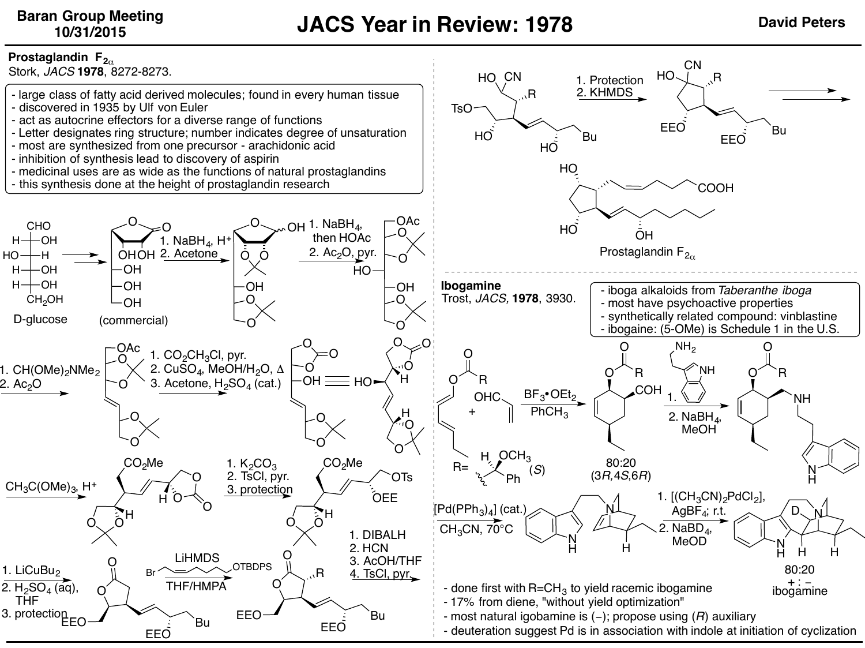**CN** 



CHO  $H \rightarrow H$ OH

 $H + OH$  $H \rightarrow H$ OH CH<sub>2</sub>OH

HO-

Stork, *JACS* **1978**, 8272-8273.

- large class of fatty acid derived molecules; found in every human tissue
- discovered in 1935 by Ulf von Euler
- act as autocrine effectors for a diverse range of functions
- Letter designates ring structure; number indicates degree of unsaturation
- most are synthesized from one precursor arachidonic acid
- inhibition of synthesis lead to discovery of aspirin

**OH OH** OH

O

O

 $\circlearrowright$  o

O

O

3. protectio $\mathop{\mathsf{E}\varepsilon\mathsf{O}}$ 

 $CH<sub>3</sub>C(OMe)<sub>3</sub>$ , H<sup>+</sup>

1. CH(OMe)<sub>2</sub>NMe<sub>2</sub>

2.  $Ac_2O$ 

1. LiCuBu<sub>2</sub> 2.  $H_2SO_4$  (aq), THF

O

D-glucose (commercial)

O

CO2Me

H

O

- medicinal uses are as wide as the functions of natural prostaglandins

1. Na $BH_4$ , H $\overline{ }$ 

OH O O

2. TsCl, pyr. 3. protection

**OTBDPS** 

EEO

 $\Omega$ 

Bu EEO FFO Bu

EEO

O

O

O O

O

- this synthesis done at the height of prostaglandin research

OHOH 2. Acetone

 $OAC$  1.  $CO<sub>2</sub>CH<sub>3</sub>Cl$ , pyr.

O

H

EEO

O

LiHMDS

THF/HMPA

O

2. CuSO<sub>4</sub>, MeOH/H<sub>2</sub>O, Δ 3. Acetone,  $H_2SO_4$  (cat.)



- done first with R=CH<sub>3</sub> to yield racemic ibogamine - 17% from diene, "without yield optimization"

- most natural igobamine is (−); propose using (*R*) auxiliary - deuteration suggest Pd is in association with indole at initiation of cyclization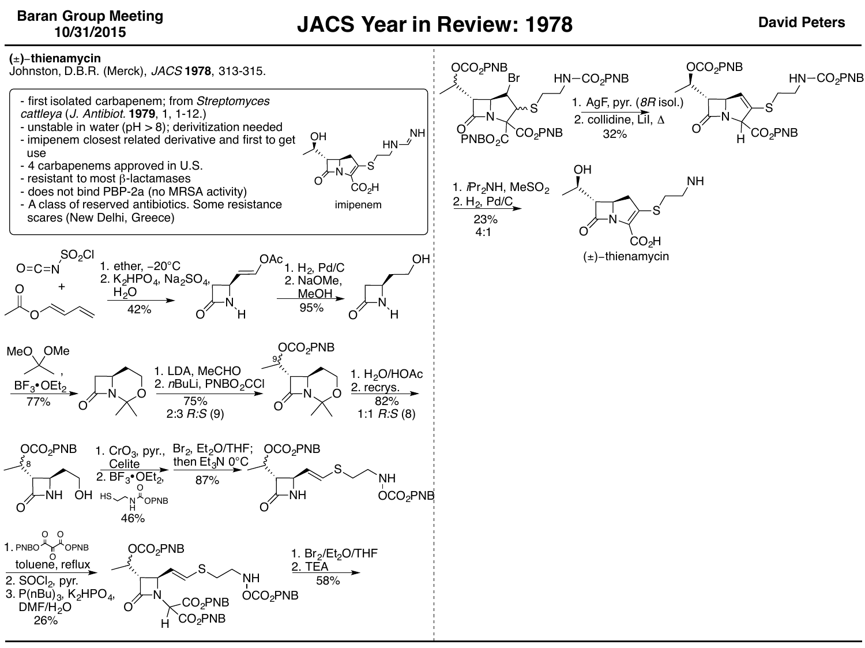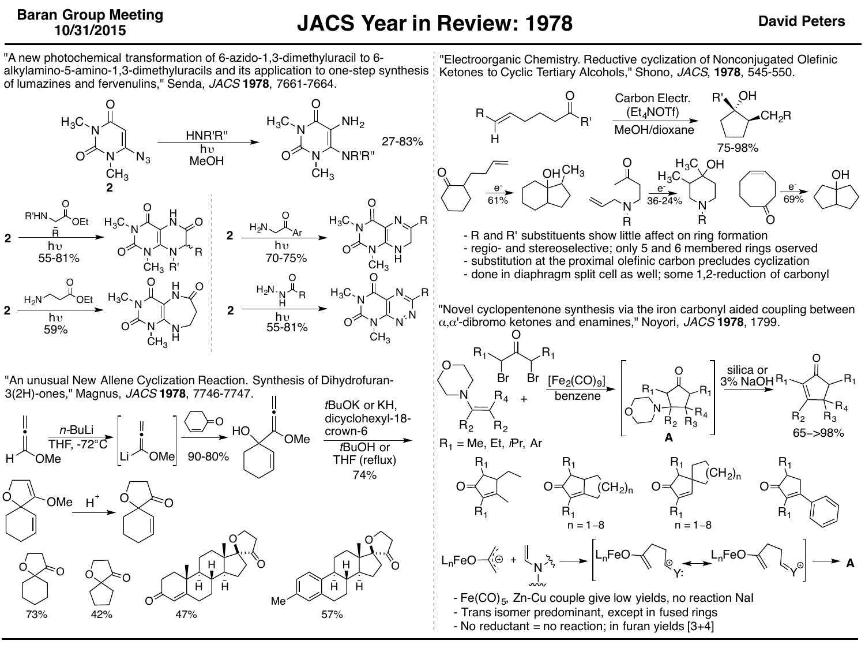**2**

**A**

N N O  $O^{\times}$  `N^  $N_3$  $H_3C_3$ CH<sub>2</sub> HNR'R'' OEt O R'HN R Ar O  $_{12}N$ OEt O  $H_2N$ <sup>N</sup>OEt  $H_3C \cdot_N N \rightarrow N \rightarrow N$ H  $_{\rm H_2}$ N O N N O OZ N N  $_{\rm H_3C}$  $\mathsf{CH}_3$ H N $\sim$ O R R' N N O OZ N. W H  $H_3C$  $\mathsf{CH}_3$ N $_{\sim}$   $\times$  R N N O OZ N N  $_{\rm H_3C}$  $CH<sub>3</sub>$ N N R N N O O  $_{\rm H_3C}$  $\mathsf{CH}_3$ N H H N O  $_{\rm H_3C_{>}}$ N N O NR'R"  $CH<sub>3</sub>$  $NH<sub>2</sub>$ **2 2 2 2**  $h<sub>0</sub>$ MeOH hv  $\bigcap_{n \leq N} A_{n} A_{n}$  hv hv  $\lambda_{\rm b}$   $\lambda_{\rm b}$   $\lambda_{\rm b}$   $\lambda_{\rm b}$   $\lambda_{\rm b}$   $\lambda_{\rm b}$   $\lambda_{\rm b}$   $\lambda_{\rm b}$ "A new photochemical transformation of 6-azido-1,3-dimethyluracil to 6 alkylamino-5-amino-1,3-dimethyluracils and its application to one-step synthesis Ketones to Cyclic Tertiary Alcohols," Shono, *JACS*, **1978**, 545-550. of lumazines and fervenulins," Senda, *JACS* **1978**, 7661-7664. 27-83% 55-81% <sup>U</sup> N N H 70-75% 59% 55-81% "An unusual New Allene Cyclization Reaction. Synthesis of Dihydrofuran-3(2H)-ones," Magnus, *JACS* **1978**, 7746-7747. • H OMe *n-*BuLi  $\frac{1750 \text{ L}}{THF, -72^{\circ} \text{C}}$   $\downarrow$ Li <sup>2</sup>OMe O HO • OMe *t*BuOK or KH, dicyclohexyl-18 crown-6 *t*BuOH or THF (reflux)  $OMe$  H 90-80% 74% H H H O H H H O O O O Me  $\sim$  o  $\sim$  o 73% 42% 47% 57% "Electroorganic Chemistry. Reductive cyclization of Nonconjugated Olefinic R R' O H CH2R Carbon Electr.  $(Et<sub>4</sub>NOTf)$ MeOH/dioxane - R and R' substituents show little affect on ring formation - regio- and stereoselective; only 5 and 6 membered rings oserved - substitution at the proximal olefinic carbon precludes cyclization - done in diaphragm split cell as well; some 1,2-reduction of carbonyl 75-98%  $OH<sup>CH<sub>3</sub></sup>$ N O R O OH N R  $H_3C$  $H_3C_1$  OH e-36-24% e-61% e-69% O Br Br  $R_2$   $R_2$  $N$   $R_4$  +  $[Fe<sub>2</sub>(CO)<sub>9</sub>]$  $R<sub>1</sub>$ R4 O  $R_2$   $R_3$  $R_4$  $R_1$ O N  $\mathsf{R}_1$ O  $R_3$  $R_{4}$  $R_1 \searrow R_1$ silica or 3% NaOH <sup>H</sup> 65−>98% R1 = Me, Et, *i*Pr, Ar O  $R_1$  $R_1$ O  $R_1$  $R_1$  $\overline{C}H_2$ <sub>n</sub>  $R_{1}$  $R_1$ n = 1−8  $(CH<sub>2</sub>)<sub>n</sub>$  $n = 1-8$ O  $R_{1}$  $R_1$ - Fe(CO)<sub>5</sub>, Zn-Cu couple give low yields, no reaction NaI - Trans isomer predominant, except in fused rings - No reductant = no reaction; in furan yields  $[3+4]$ benzene O  $L_n$ FeO $\left(\begin{matrix} \cdot & \cdot & \cdot \\ \cdot & \cdot & \cdot \\ \cdot & \cdot & \cdot \end{matrix}\right)$   $\rightarrow$   $\left| \begin{matrix} L_n & \cdot & \cdot \\ \cdot & \cdot & \cdot \\ \cdot & \cdot & \cdot \end{matrix}\right|$ Y  $\mathsf{L}_\mathsf{n}$ FeO Y "Novel cyclopentenone synthesis via the iron carbonyl aided coupling between α,α'-dibromo ketones and enamines," Noyori, *JACS* **1978**, 1799. **A**